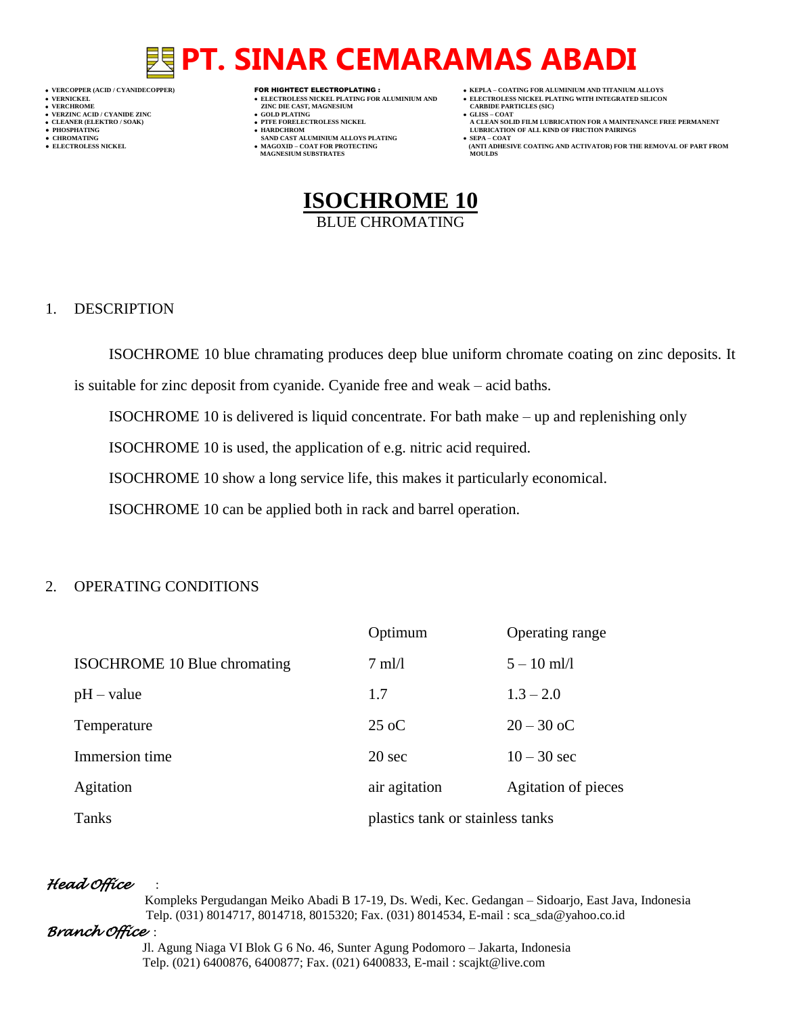## **PT. SINAR CEMARAMAS ABADI**

- 
- 

- 
- 

- **VERT ASSESSED ASSESSED ASSESSED ASSESSED ASSESSED ASSESSED ASSESSED ASSESSED ASSESSED ASSESSED ASSESSED ASSESSED ASSESSED ASSESSED ASSESSED ASSESSED ASSESSED ASSESSED ASSESSED ASSESSED ASSESSED ASSESSED ASSESSED ASSESSED**
- **VERZINC ACID / CYANIDE ZINC GOLD PLATING GLISS – COAT**
	-
- **● CHROMATING SAND CAST ALUMINIUM ALLOYS PLATING SEPA – COAT MAGNESIUM SUBSTRATES MOULDS**
- **VERCOPPER (ACID / CYANIDECOPPER)** FOR HIGHTECT ELECTROPLATING :  **KEPLA – COATING FOR ALUMINIUM AND TITANIUM ALLOYS**
- **VERNICKEL ELECTROLESS NICKEL PLATING FOR ALUMINIUM AND ELECTROLESS NICKEL PLATING WITH INTEGRATED SILICON**
	-
- **CLEANER (ELEKTRO / SOAK) PTFE FORELECTROLESS NICKEL A CLEAN SOLID FILM LUBRICATION FOR A MAINTENANCE FREE PERMANENT ● PHOSPHATING HARDCHROM LUBRICATION OF ALL KIND OF FRICTION PAIRINGS**
- **● ELECTROLESS NICKEL MAGOXID – COAT FOR PROTECTING (ANTI ADHESIVE COATING AND ACTIVATOR) FOR THE REMOVAL OF PART FROM**



### 1. DESCRIPTION

ISOCHROME 10 blue chramating produces deep blue uniform chromate coating on zinc deposits. It

is suitable for zinc deposit from cyanide. Cyanide free and weak – acid baths.

ISOCHROME 10 is delivered is liquid concentrate. For bath make – up and replenishing only

ISOCHROME 10 is used, the application of e.g. nitric acid required.

ISOCHROME 10 show a long service life, this makes it particularly economical.

ISOCHROME 10 can be applied both in rack and barrel operation.

### 2. OPERATING CONDITIONS

|                              | Optimum                          | Operating range     |
|------------------------------|----------------------------------|---------------------|
| ISOCHROME 10 Blue chromating | $7 \text{ ml}/1$                 | $5 - 10$ ml/l       |
| $pH - value$                 | 1.7                              | $1.3 - 2.0$         |
| Temperature                  | $25 \text{ oC}$                  | $20 - 30$ oC        |
| Immersion time               | 20 <sub>sec</sub>                | $10 - 30$ sec       |
| Agitation                    | air agitation                    | Agitation of pieces |
| Tanks                        | plastics tank or stainless tanks |                     |

### *Head Office* :

 Kompleks Pergudangan Meiko Abadi B 17-19, Ds. Wedi, Kec. Gedangan – Sidoarjo, East Java, Indonesia Telp. (031) 8014717, 8014718, 8015320; Fax. (031) 8014534, E-mail : sca\_sda@yahoo.co.id

### *Branch Office* :

 Jl. Agung Niaga VI Blok G 6 No. 46, Sunter Agung Podomoro – Jakarta, Indonesia Telp. (021) 6400876, 6400877; Fax. (021) 6400833, E-mail : scajkt@live.com